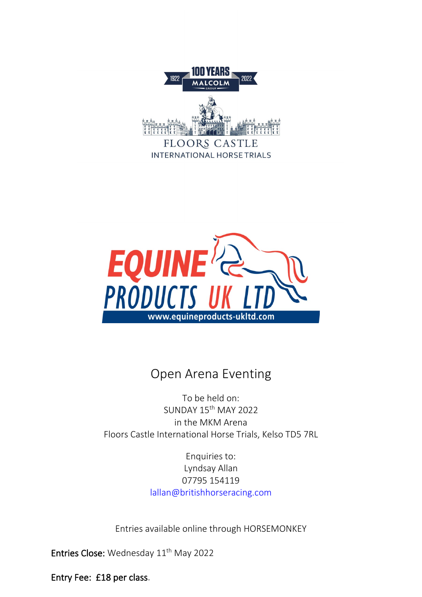

INTERNATIONAL HORSE TRIALS



# Open Arena Eventing

To be held on: SUNDAY 15th MAY 2022 in the MKM Arena Floors Castle International Horse Trials, Kelso TD5 7RL

> Enquiries to: Lyndsay Allan 07795 154119 [lallan@britishhorseracing.com](mailto:arenas@floorscastlehorsetrials.com)

Entries available online through HORSEMONKEY

Entries Close: Wednesday 11<sup>th</sup> May 2022

Entry Fee: £18 per class.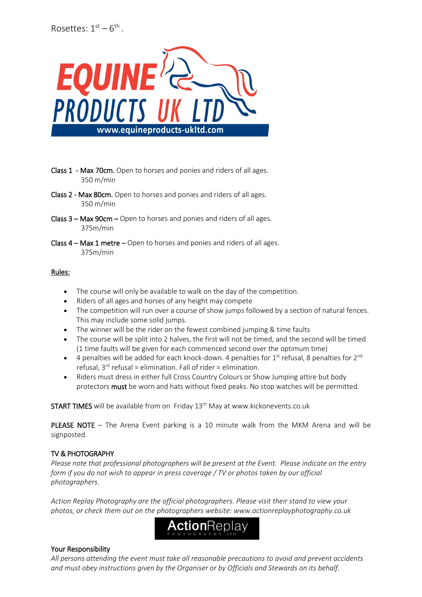

- Class 1 Max 70cm. Open to horses and ponies and riders of all ages. 350 m/min
- Class 2 Max 80cm. Open to horses and ponies and riders of all ages. 350 m/min
- Class 3 Max 90cm Open to horses and ponies and riders of all ages. 375m/min
- Class 4 Max 1 metre Open to horses and ponies and riders of all ages. 375m/min

#### Rules:

- The course will only be available to walk on the day of the competition.
- Riders of all ages and horses of any height may compete
- The competition will run over a course of show jumps followed by a section of natural fences. This may include some solid jumps.
- The winner will be the rider on the fewest combined jumping & time faults
- The course will be split into 2 halves, the first will not be timed, and the second will be timed (1 time faults will be given for each commenced second over the optimum time)
- $\bullet$  4 penalties will be added for each knock-down. 4 penalties for 1<sup>st</sup> refusal, 8 penalties for 2<sup>nd</sup> refusal,  $3^{rd}$  refusal = elimination. Fall of rider = elimination.
- Riders must dress in either full Cross Country Colours or Show Jumping attire but body protectors must be worn and hats without fixed peaks. No stop watches will be permitted.

START TIMES will be available from on Friday 13<sup>th</sup> May at www.kickonevents.co.uk

PLEASE NOTE – The Arena Event parking is a 10 minute walk from the MKM Arena and will be signposted.

## TV & PHOTOGRAPHY

*Please note that professional photographers will be present at the Event. Please indicate on the entry form if you do not wish to appear in press coverage / TV or photos taken by our official photographers*.

*Action Replay Photography are the official photographers. Please visit their stand to view your photos, or check them out on the photographers website: www.actionreplayphotography.co.uk* 



## Your Responsibility

*All persons attending the event must take all reasonable precautions to avoid and prevent accidents and must obey instructions given by the Organiser or by Officials and Stewards on its behalf.*